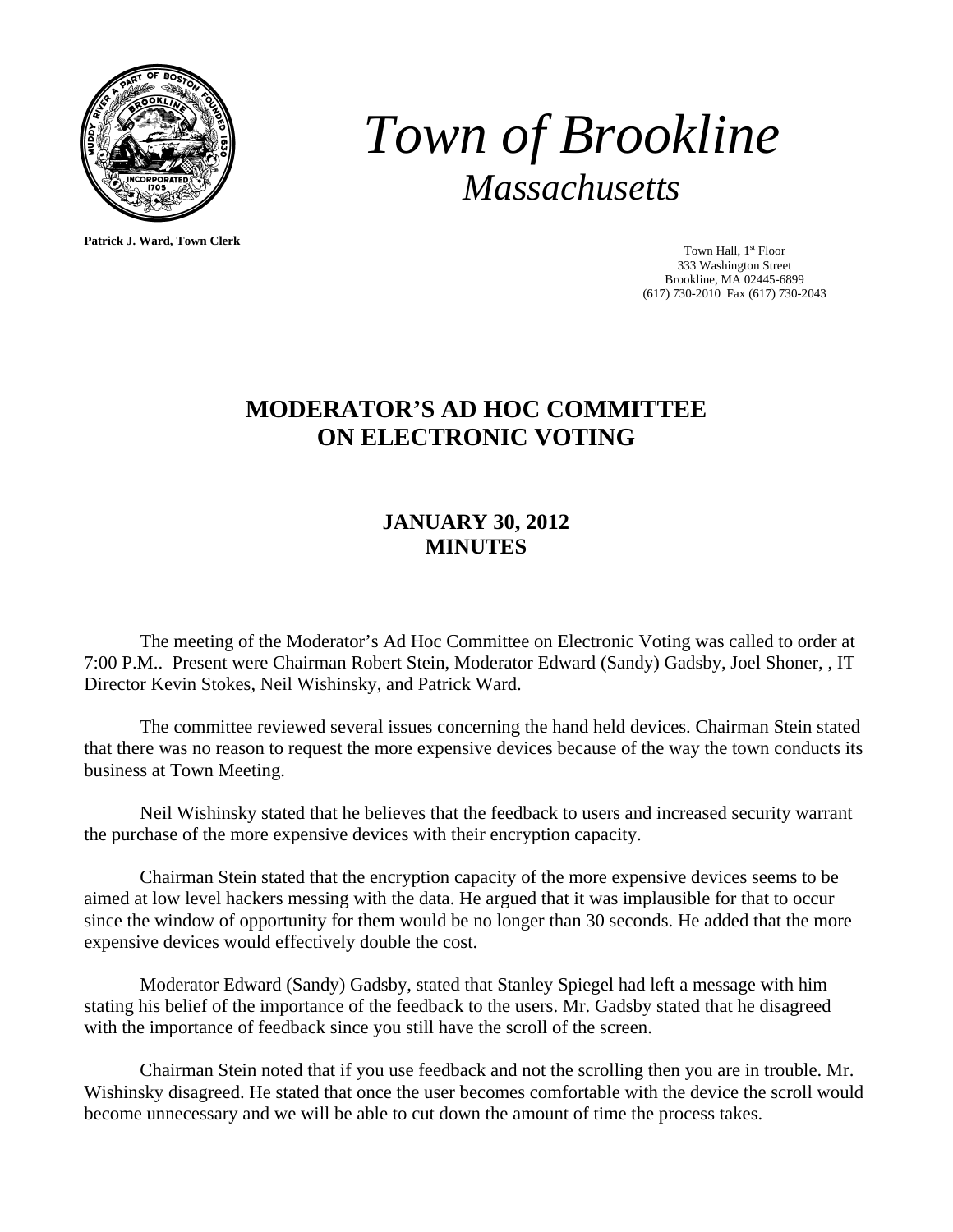

**Patrick J. Ward, Town Clerk**

*Town of Brookline Massachusetts* 

> Town Hall, 1<sup>st</sup> Floor 333 Washington Street Brookline, MA 02445-6899 (617) 730-2010 Fax (617) 730-2043

## **MODERATOR'S AD HOC COMMITTEE ON ELECTRONIC VOTING**

## **JANUARY 30, 2012 MINUTES**

 The meeting of the Moderator's Ad Hoc Committee on Electronic Voting was called to order at 7:00 P.M.. Present were Chairman Robert Stein, Moderator Edward (Sandy) Gadsby, Joel Shoner, , IT Director Kevin Stokes, Neil Wishinsky, and Patrick Ward.

 The committee reviewed several issues concerning the hand held devices. Chairman Stein stated that there was no reason to request the more expensive devices because of the way the town conducts its business at Town Meeting.

 Neil Wishinsky stated that he believes that the feedback to users and increased security warrant the purchase of the more expensive devices with their encryption capacity.

 Chairman Stein stated that the encryption capacity of the more expensive devices seems to be aimed at low level hackers messing with the data. He argued that it was implausible for that to occur since the window of opportunity for them would be no longer than 30 seconds. He added that the more expensive devices would effectively double the cost.

 Moderator Edward (Sandy) Gadsby, stated that Stanley Spiegel had left a message with him stating his belief of the importance of the feedback to the users. Mr. Gadsby stated that he disagreed with the importance of feedback since you still have the scroll of the screen.

 Chairman Stein noted that if you use feedback and not the scrolling then you are in trouble. Mr. Wishinsky disagreed. He stated that once the user becomes comfortable with the device the scroll would become unnecessary and we will be able to cut down the amount of time the process takes.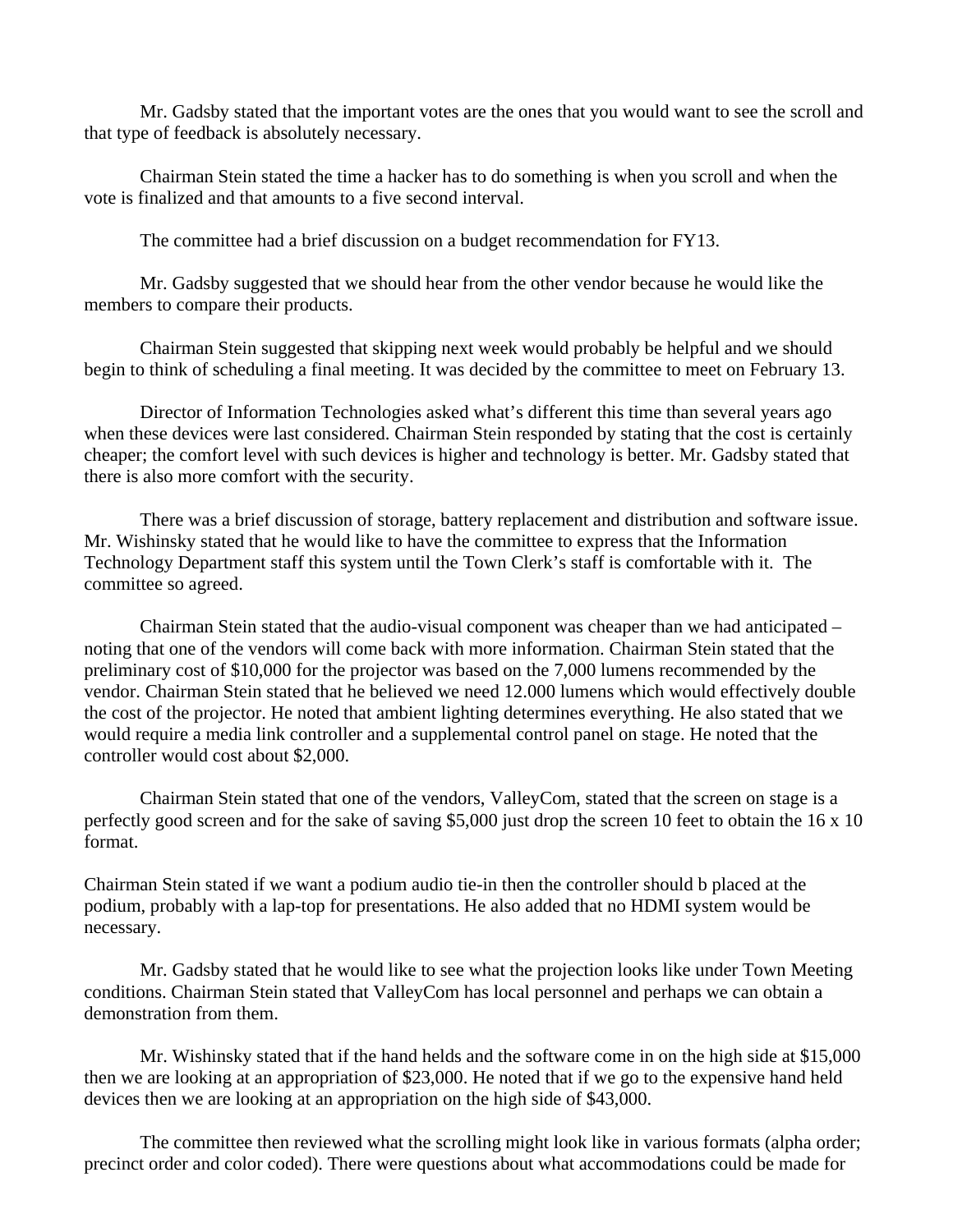Mr. Gadsby stated that the important votes are the ones that you would want to see the scroll and that type of feedback is absolutely necessary.

 Chairman Stein stated the time a hacker has to do something is when you scroll and when the vote is finalized and that amounts to a five second interval.

The committee had a brief discussion on a budget recommendation for FY13.

 Mr. Gadsby suggested that we should hear from the other vendor because he would like the members to compare their products.

 Chairman Stein suggested that skipping next week would probably be helpful and we should begin to think of scheduling a final meeting. It was decided by the committee to meet on February 13.

 Director of Information Technologies asked what's different this time than several years ago when these devices were last considered. Chairman Stein responded by stating that the cost is certainly cheaper; the comfort level with such devices is higher and technology is better. Mr. Gadsby stated that there is also more comfort with the security.

 There was a brief discussion of storage, battery replacement and distribution and software issue. Mr. Wishinsky stated that he would like to have the committee to express that the Information Technology Department staff this system until the Town Clerk's staff is comfortable with it. The committee so agreed.

 Chairman Stein stated that the audio-visual component was cheaper than we had anticipated – noting that one of the vendors will come back with more information. Chairman Stein stated that the preliminary cost of \$10,000 for the projector was based on the 7,000 lumens recommended by the vendor. Chairman Stein stated that he believed we need 12.000 lumens which would effectively double the cost of the projector. He noted that ambient lighting determines everything. He also stated that we would require a media link controller and a supplemental control panel on stage. He noted that the controller would cost about \$2,000.

 Chairman Stein stated that one of the vendors, ValleyCom, stated that the screen on stage is a perfectly good screen and for the sake of saving \$5,000 just drop the screen 10 feet to obtain the 16 x 10 format.

Chairman Stein stated if we want a podium audio tie-in then the controller should b placed at the podium, probably with a lap-top for presentations. He also added that no HDMI system would be necessary.

 Mr. Gadsby stated that he would like to see what the projection looks like under Town Meeting conditions. Chairman Stein stated that ValleyCom has local personnel and perhaps we can obtain a demonstration from them.

 Mr. Wishinsky stated that if the hand helds and the software come in on the high side at \$15,000 then we are looking at an appropriation of \$23,000. He noted that if we go to the expensive hand held devices then we are looking at an appropriation on the high side of \$43,000.

 The committee then reviewed what the scrolling might look like in various formats (alpha order; precinct order and color coded). There were questions about what accommodations could be made for